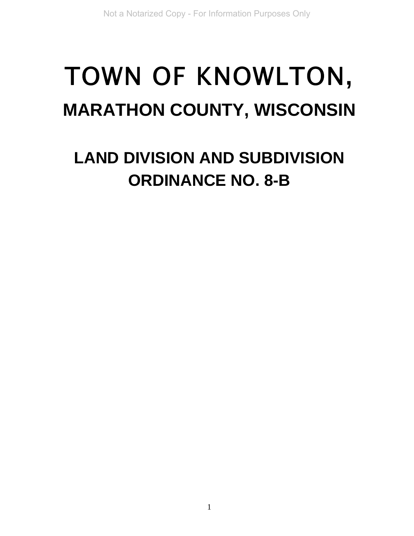# TOWN OF KNOWLTON**, MARATHON COUNTY, WISCONSIN**

# **LAND DIVISION AND SUBDIVISION ORDINANCE NO. 8-B**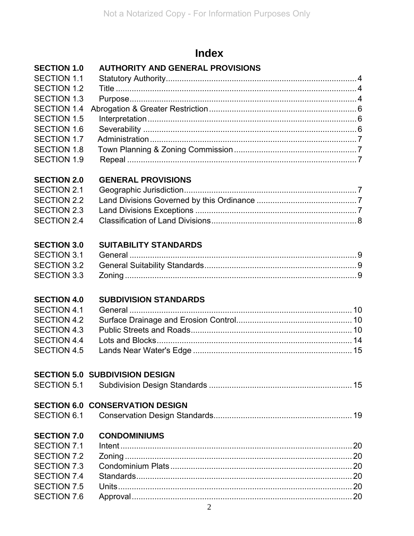# **Index**

# SECTION 1.0 AUTHORITY AND GENERAL PROVISIONS

| SECTION 1.1        |  |
|--------------------|--|
| SECTION 1.2        |  |
| <b>SECTION 1.3</b> |  |
|                    |  |
| SECTION 1.5        |  |
| <b>SECTION 1.6</b> |  |
| SECTION 1.7        |  |
|                    |  |
|                    |  |
|                    |  |

#### **SECTION 2.0 GENERAL PROVISIONS**

#### **SECTION 3.0 SUITABILITY STANDARDS**

## **SECTION 4.0 SUBDIVISION STANDARDS**

# **SECTION 5.0 SUBDIVISION DESIGN**

|                    | <b>SECTION 6.0 CONSERVATION DESIGN</b> |  |
|--------------------|----------------------------------------|--|
|                    |                                        |  |
| <b>SECTION 7.0</b> | <b>CONDOMINIUMS</b>                    |  |
| SECTION 7.1        |                                        |  |
| SECTION 7.2        |                                        |  |
| <b>SECTION 7.3</b> |                                        |  |
| SECTION 7.4        |                                        |  |
| <b>SECTION 7.5</b> |                                        |  |
| <b>SECTION 7.6</b> |                                        |  |
|                    |                                        |  |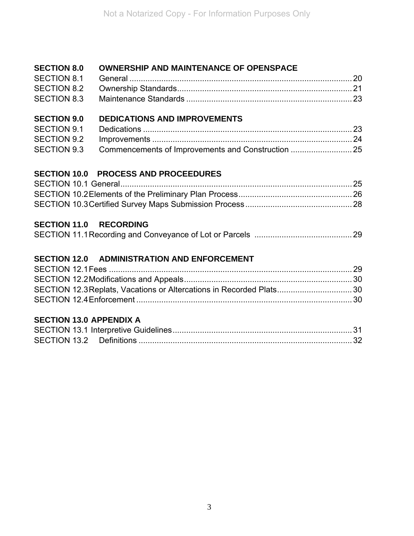#### **SECTION 8.0 OWNERSHIP AND MAINTENANCE OF OPENSPACE**

#### **SECTION 9.0 DEDICATIONS AND IMPROVEMENTS**

#### **SECTION 10.0 PROCESS AND PROCEEDURES**

#### **SECTION 11.0 RECORDING**

|--|--|

#### **SECTION 12.0 ADMINISTRATION AND ENFORCEMENT**

| SECTION 12.3 Replats, Vacations or Altercations in Recorded Plats 30 |  |
|----------------------------------------------------------------------|--|
|                                                                      |  |

#### **SECTION 13.0 APPENDIX A**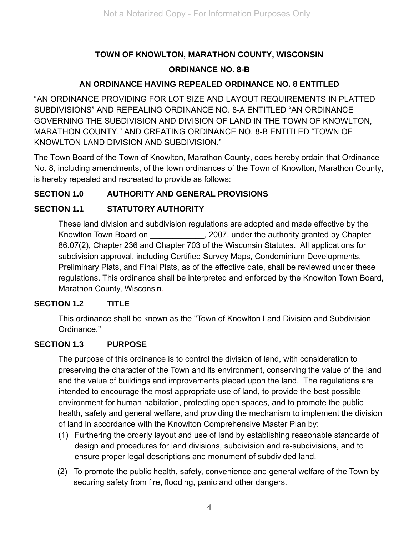# **TOWN OF KNOWLTON, MARATHON COUNTY, WISCONSIN ORDINANCE NO. 8-B**

#### **AN ORDINANCE HAVING REPEALED ORDINANCE NO. 8 ENTITLED**

"AN ORDINANCE PROVIDING FOR LOT SIZE AND LAYOUT REQUIREMENTS IN PLATTED SUBDIVISIONS" AND REPEALING ORDINANCE NO. 8-A ENTITLED "AN ORDINANCE GOVERNING THE SUBDIVISION AND DIVISION OF LAND IN THE TOWN OF KNOWLTON, MARATHON COUNTY," AND CREATING ORDINANCE NO. 8-B ENTITLED "TOWN OF KNOWLTON LAND DIVISION AND SUBDIVISION."

The Town Board of the Town of Knowlton, Marathon County, does hereby ordain that Ordinance No. 8, including amendments, of the town ordinances of the Town of Knowlton, Marathon County, is hereby repealed and recreated to provide as follows:

#### **SECTION 1.0 AUTHORITY AND GENERAL PROVISIONS**

#### **SECTION 1.1 STATUTORY AUTHORITY**

These land division and subdivision regulations are adopted and made effective by the Knowlton Town Board on Fundally 2007. under the authority granted by Chapter 86.07(2), Chapter 236 and Chapter 703 of the Wisconsin Statutes. All applications for subdivision approval, including Certified Survey Maps, Condominium Developments, Preliminary Plats, and Final Plats, as of the effective date, shall be reviewed under these regulations. This ordinance shall be interpreted and enforced by the Knowlton Town Board, Marathon County, Wisconsin.

#### **SECTION 1.2 TITLE**

This ordinance shall be known as the "Town of Knowlton Land Division and Subdivision Ordinance."

#### **SECTION 1.3 PURPOSE**

The purpose of this ordinance is to control the division of land, with consideration to preserving the character of the Town and its environment, conserving the value of the land and the value of buildings and improvements placed upon the land. The regulations are intended to encourage the most appropriate use of land, to provide the best possible environment for human habitation, protecting open spaces, and to promote the public health, safety and general welfare, and providing the mechanism to implement the division of land in accordance with the Knowlton Comprehensive Master Plan by:

- (1) Furthering the orderly layout and use of land by establishing reasonable standards of design and procedures for land divisions, subdivision and re-subdivisions, and to ensure proper legal descriptions and monument of subdivided land.
- (2) To promote the public health, safety, convenience and general welfare of the Town by securing safety from fire, flooding, panic and other dangers.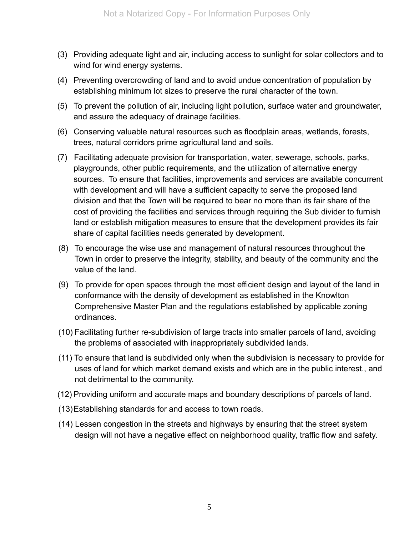- (3) Providing adequate light and air, including access to sunlight for solar collectors and to wind for wind energy systems.
- (4) Preventing overcrowding of land and to avoid undue concentration of population by establishing minimum lot sizes to preserve the rural character of the town.
- (5) To prevent the pollution of air, including light pollution, surface water and groundwater, and assure the adequacy of drainage facilities.
- (6) Conserving valuable natural resources such as floodplain areas, wetlands, forests, trees, natural corridors prime agricultural land and soils.
- (7) Facilitating adequate provision for transportation, water, sewerage, schools, parks, playgrounds, other public requirements, and the utilization of alternative energy sources. To ensure that facilities, improvements and services are available concurrent with development and will have a sufficient capacity to serve the proposed land division and that the Town will be required to bear no more than its fair share of the cost of providing the facilities and services through requiring the Sub divider to furnish land or establish mitigation measures to ensure that the development provides its fair share of capital facilities needs generated by development.
- (8) To encourage the wise use and management of natural resources throughout the Town in order to preserve the integrity, stability, and beauty of the community and the value of the land.
- (9) To provide for open spaces through the most efficient design and layout of the land in conformance with the density of development as established in the Knowlton Comprehensive Master Plan and the regulations established by applicable zoning ordinances.
- (10) Facilitating further re-subdivision of large tracts into smaller parcels of land, avoiding the problems of associated with inappropriately subdivided lands.
- (11) To ensure that land is subdivided only when the subdivision is necessary to provide for uses of land for which market demand exists and which are in the public interest., and not detrimental to the community.
- (12) Providing uniform and accurate maps and boundary descriptions of parcels of land.
- (13) Establishing standards for and access to town roads.
- (14) Lessen congestion in the streets and highways by ensuring that the street system design will not have a negative effect on neighborhood quality, traffic flow and safety.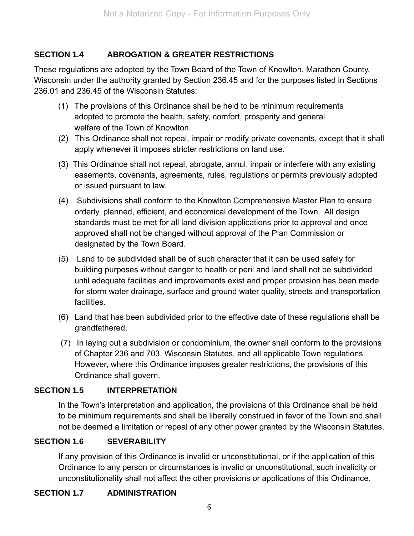#### **SECTION 1.4 ABROGATION & GREATER RESTRICTIONS**

These regulations are adopted by the Town Board of the Town of Knowlton, Marathon County, Wisconsin under the authority granted by Section 236.45 and for the purposes listed in Sections 236.01 and 236.45 of the Wisconsin Statutes:

- (1) The provisions of this Ordinance shall be held to be minimum requirements adopted to promote the health, safety, comfort, prosperity and general welfare of the Town of Knowlton.
- (2) This Ordinance shall not repeal, impair or modify private covenants, except that it shall apply whenever it imposes stricter restrictions on land use.
- (3) This Ordinance shall not repeal, abrogate, annul, impair or interfere with any existing easements, covenants, agreements, rules, regulations or permits previously adopted or issued pursuant to law.
- (4) Subdivisions shall conform to the Knowlton Comprehensive Master Plan to ensure orderly, planned, efficient, and economical development of the Town. All design standards must be met for all land division applications prior to approval and once approved shall not be changed without approval of the Plan Commission or designated by the Town Board.
- (5) Land to be subdivided shall be of such character that it can be used safely for building purposes without danger to health or peril and land shall not be subdivided until adequate facilities and improvements exist and proper provision has been made for storm water drainage, surface and ground water quality, streets and transportation facilities.
- (6) Land that has been subdivided prior to the effective date of these regulations shall be grandfathered.
- (7) In laying out a subdivision or condominium, the owner shall conform to the provisions of Chapter 236 and 703, Wisconsin Statutes, and all applicable Town regulations. However, where this Ordinance imposes greater restrictions, the provisions of this Ordinance shall govern.

#### **SECTION 1.5 INTERPRETATION**

In the Town's interpretation and application, the provisions of this Ordinance shall be held to be minimum requirements and shall be liberally construed in favor of the Town and shall not be deemed a limitation or repeal of any other power granted by the Wisconsin Statutes.

#### **SECTION 1.6 SEVERABILITY**

If any provision of this Ordinance is invalid or unconstitutional, or if the application of this Ordinance to any person or circumstances is invalid or unconstitutional, such invalidity or unconstitutionality shall not affect the other provisions or applications of this Ordinance.

#### **SECTION 1.7 ADMINISTRATION**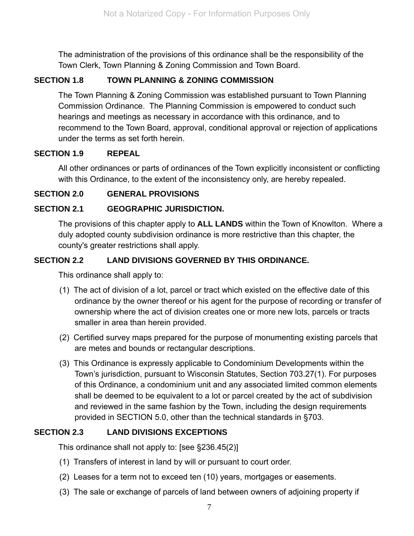The administration of the provisions of this ordinance shall be the responsibility of the Town Clerk, Town Planning & Zoning Commission and Town Board.

#### **SECTION 1.8 TOWN PLANNING & ZONING COMMISSION**

The Town Planning & Zoning Commission was established pursuant to Town Planning Commission Ordinance. The Planning Commission is empowered to conduct such hearings and meetings as necessary in accordance with this ordinance, and to recommend to the Town Board, approval, conditional approval or rejection of applications under the terms as set forth herein.

#### **SECTION 1.9 REPEAL**

All other ordinances or parts of ordinances of the Town explicitly inconsistent or conflicting with this Ordinance, to the extent of the inconsistency only, are hereby repealed.

#### **SECTION 2.0 GENERAL PROVISIONS**

#### **SECTION 2.1 GEOGRAPHIC JURISDICTION.**

The provisions of this chapter apply to **ALL LANDS** within the Town of Knowlton. Where a duly adopted county subdivision ordinance is more restrictive than this chapter, the county's greater restrictions shall apply.

#### **SECTION 2.2 LAND DIVISIONS GOVERNED BY THIS ORDINANCE.**

This ordinance shall apply to:

- (1) The act of division of a lot, parcel or tract which existed on the effective date of this ordinance by the owner thereof or his agent for the purpose of recording or transfer of ownership where the act of division creates one or more new lots, parcels or tracts smaller in area than herein provided.
- (2) Certified survey maps prepared for the purpose of monumenting existing parcels that are metes and bounds or rectangular descriptions.
- (3) This Ordinance is expressly applicable to Condominium Developments within the Town's jurisdiction, pursuant to Wisconsin Statutes, Section 703.27(1). For purposes of this Ordinance, a condominium unit and any associated limited common elements shall be deemed to be equivalent to a lot or parcel created by the act of subdivision and reviewed in the same fashion by the Town, including the design requirements provided in SECTION 5.0, other than the technical standards in §703.

#### **SECTION 2.3 LAND DIVISIONS EXCEPTIONS**

This ordinance shall not apply to: [see §236.45(2)]

- (1) Transfers of interest in land by will or pursuant to court order.
- (2) Leases for a term not to exceed ten (10) years, mortgages or easements.
- (3) The sale or exchange of parcels of land between owners of adjoining property if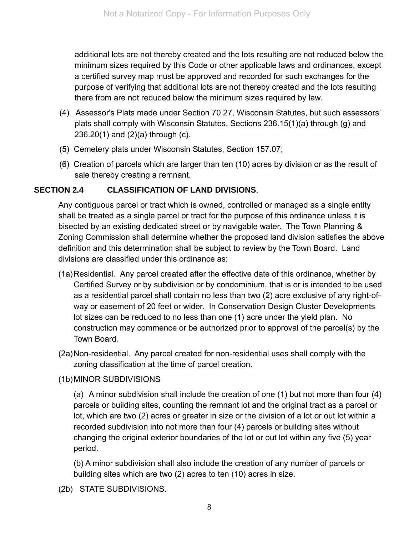additional lots are not thereby created and the lots resulting are not reduced below the minimum sizes required by this Code or other applicable laws and ordinances, except a certified survey map must be approved and recorded for such exchanges for the purpose of verifying that additional lots are not thereby created and the lots resulting there from are not reduced below the minimum sizes required by law.

- (4) Assessor's Plats made under Section 70.27, Wisconsin Statutes, but such assessors' plats shall comply with Wisconsin Statutes, Sections 236.15(1)(a) through (g) and 236.20(1) and (2)(a) through (c).
- (5) Cemetery plats under Wisconsin Statutes, Section 157.07;
- (6) Creation of parcels which are larger than ten (10) acres by division or as the result of sale thereby creating a remnant.

#### **SECTION 2.4 CLASSIFICATION OF LAND DIVISIONS**.

Any contiguous parcel or tract which is owned, controlled or managed as a single entity shall be treated as a single parcel or tract for the purpose of this ordinance unless it is bisected by an existing dedicated street or by navigable water. The Town Planning & Zoning Commission shall determine whether the proposed land division satisfies the above definition and this determination shall be subject to review by the Town Board. Land divisions are classified under this ordinance as:

- (1a) Residential. Any parcel created after the effective date of this ordinance, whether by Certified Survey or by subdivision or by condominium, that is or is intended to be used as a residential parcel shall contain no less than two (2) acre exclusive of any right-ofway or easement of 20 feet or wider. In Conservation Design Cluster Developments lot sizes can be reduced to no less than one (1) acre under the yield plan. No construction may commence or be authorized prior to approval of the parcel(s) by the Town Board*.*
- (2a) Non-residential. Any parcel created for non-residential uses shall comply with the zoning classification at the time of parcel creation.

#### (1b) MINOR SUBDIVISIONS

 (a) A minor subdivision shall include the creation of one (1) but not more than four (4) parcels or building sites, counting the remnant lot and the original tract as a parcel or lot, which are two (2) acres or greater in size or the division of a lot or out lot within a recorded subdivision into not more than four (4) parcels or building sites without changing the original exterior boundaries of the lot or out lot within any five (5) year period.

 (b) A minor subdivision shall also include the creation of any number of parcels or building sites which are two (2) acres to ten (10) acres in size.

(2b) STATE SUBDIVISIONS.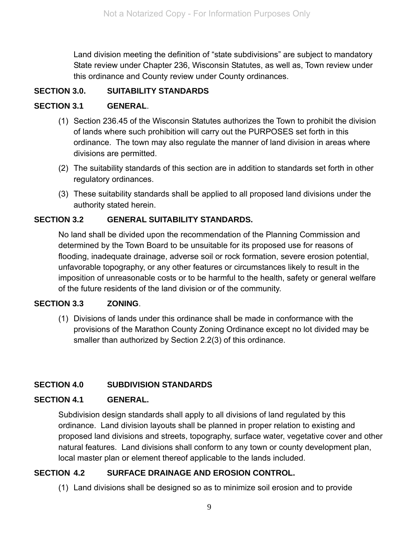Land division meeting the definition of "state subdivisions" are subject to mandatory State review under Chapter 236, Wisconsin Statutes, as well as, Town review under this ordinance and County review under County ordinances.

#### **SECTION 3.0. SUITABILITY STANDARDS**

#### **SECTION 3.1 GENERAL**.

- (1) Section 236.45 of the Wisconsin Statutes authorizes the Town to prohibit the division of lands where such prohibition will carry out the PURPOSES set forth in this ordinance. The town may also regulate the manner of land division in areas where divisions are permitted.
- (2) The suitability standards of this section are in addition to standards set forth in other regulatory ordinances.
- (3) These suitability standards shall be applied to all proposed land divisions under the authority stated herein.

#### **SECTION 3.2 GENERAL SUITABILITY STANDARDS.**

No land shall be divided upon the recommendation of the Planning Commission and determined by the Town Board to be unsuitable for its proposed use for reasons of flooding, inadequate drainage, adverse soil or rock formation, severe erosion potential, unfavorable topography, or any other features or circumstances likely to result in the imposition of unreasonable costs or to be harmful to the health, safety or general welfare of the future residents of the land division or of the community.

#### **SECTION 3.3 ZONING**.

(1) Divisions of lands under this ordinance shall be made in conformance with the provisions of the Marathon County Zoning Ordinance except no lot divided may be smaller than authorized by Section 2.2(3) of this ordinance.

#### **SECTION 4.0 SUBDIVISION STANDARDS**

#### **SECTION 4.1 GENERAL.**

Subdivision design standards shall apply to all divisions of land regulated by this ordinance. Land division layouts shall be planned in proper relation to existing and proposed land divisions and streets, topography, surface water, vegetative cover and other natural features. Land divisions shall conform to any town or county development plan, local master plan or element thereof applicable to the lands included.

#### **SECTION 4.2 SURFACE DRAINAGE AND EROSION CONTROL.**

(1) Land divisions shall be designed so as to minimize soil erosion and to provide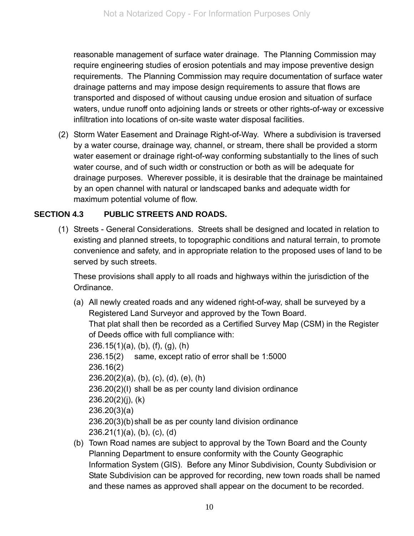reasonable management of surface water drainage. The Planning Commission may require engineering studies of erosion potentials and may impose preventive design requirements. The Planning Commission may require documentation of surface water drainage patterns and may impose design requirements to assure that flows are transported and disposed of without causing undue erosion and situation of surface waters, undue runoff onto adjoining lands or streets or other rights-of-way or excessive infiltration into locations of on-site waste water disposal facilities.

(2) Storm Water Easement and Drainage Right-of-Way. Where a subdivision is traversed by a water course, drainage way, channel, or stream, there shall be provided a storm water easement or drainage right-of-way conforming substantially to the lines of such water course, and of such width or construction or both as will be adequate for drainage purposes. Wherever possible, it is desirable that the drainage be maintained by an open channel with natural or landscaped banks and adequate width for maximum potential volume of flow.

#### **SECTION 4.3 PUBLIC STREETS AND ROADS.**

(1) Streets - General Considerations. Streets shall be designed and located in relation to existing and planned streets, to topographic conditions and natural terrain, to promote convenience and safety, and in appropriate relation to the proposed uses of land to be served by such streets.

These provisions shall apply to all roads and highways within the jurisdiction of the Ordinance.

- (a) All newly created roads and any widened right-of-way, shall be surveyed by a Registered Land Surveyor and approved by the Town Board. That plat shall then be recorded as a Certified Survey Map (CSM) in the Register of Deeds office with full compliance with: 236.15(1)(a), (b), (f), (g), (h) 236.15(2) same, except ratio of error shall be 1:5000 236.16(2) 236.20(2)(a), (b), (c), (d), (e), (h) 236.20(2)(I) shall be as per county land division ordinance 236.20(2)(j), (k) 236.20(3)(a) 236.20(3)(b) shall be as per county land division ordinance 236.21(1)(a), (b), (c), (d)
- (b) Town Road names are subject to approval by the Town Board and the County Planning Department to ensure conformity with the County Geographic Information System (GIS). Before any Minor Subdivision, County Subdivision or State Subdivision can be approved for recording, new town roads shall be named and these names as approved shall appear on the document to be recorded.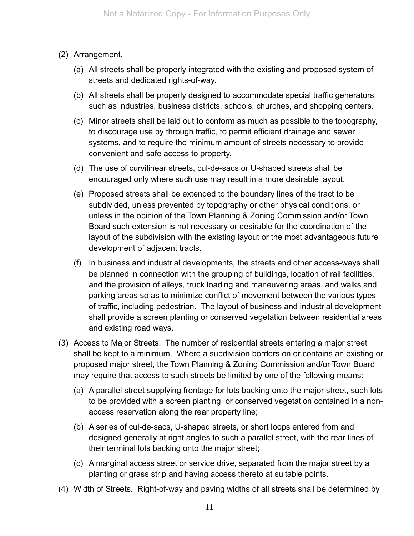- (2) Arrangement.
	- (a) All streets shall be properly integrated with the existing and proposed system of streets and dedicated rights-of-way.
	- (b) All streets shall be properly designed to accommodate special traffic generators, such as industries, business districts, schools, churches, and shopping centers.
	- (c) Minor streets shall be laid out to conform as much as possible to the topography, to discourage use by through traffic, to permit efficient drainage and sewer systems, and to require the minimum amount of streets necessary to provide convenient and safe access to property.
	- (d) The use of curvilinear streets, cul-de-sacs or U-shaped streets shall be encouraged only where such use may result in a more desirable layout.
	- (e) Proposed streets shall be extended to the boundary lines of the tract to be subdivided, unless prevented by topography or other physical conditions, or unless in the opinion of the Town Planning & Zoning Commission and/or Town Board such extension is not necessary or desirable for the coordination of the layout of the subdivision with the existing layout or the most advantageous future development of adjacent tracts.
	- (f) In business and industrial developments, the streets and other access-ways shall be planned in connection with the grouping of buildings, location of rail facilities, and the provision of alleys, truck loading and maneuvering areas, and walks and parking areas so as to minimize conflict of movement between the various types of traffic, including pedestrian. The layout of business and industrial development shall provide a screen planting or conserved vegetation between residential areas and existing road ways.
- (3) Access to Major Streets. The number of residential streets entering a major street shall be kept to a minimum. Where a subdivision borders on or contains an existing or proposed major street, the Town Planning & Zoning Commission and/or Town Board may require that access to such streets be limited by one of the following means:
	- (a) A parallel street supplying frontage for lots backing onto the major street, such lots to be provided with a screen planting or conserved vegetation contained in a nonaccess reservation along the rear property line;
	- (b) A series of cul-de-sacs, U-shaped streets, or short loops entered from and designed generally at right angles to such a parallel street, with the rear lines of their terminal lots backing onto the major street;
	- (c) A marginal access street or service drive, separated from the major street by a planting or grass strip and having access thereto at suitable points.
- (4) Width of Streets. Right-of-way and paving widths of all streets shall be determined by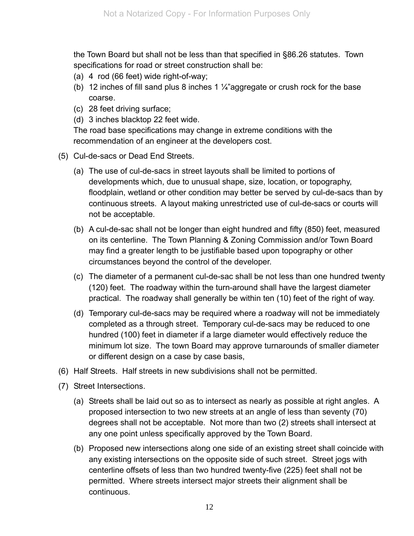the Town Board but shall not be less than that specified in §86.26 statutes. Town specifications for road or street construction shall be:

- (a) 4 rod (66 feet) wide right-of-way;
- (b) 12 inches of fill sand plus 8 inches 1  $\frac{1}{4}$ "aggregate or crush rock for the base coarse.
- (c) 28 feet driving surface;
- (d) 3 inches blacktop 22 feet wide.

The road base specifications may change in extreme conditions with the recommendation of an engineer at the developers cost.

- (5) Cul-de-sacs or Dead End Streets.
	- (a) The use of cul-de-sacs in street layouts shall be limited to portions of developments which, due to unusual shape, size, location, or topography, floodplain, wetland or other condition may better be served by cul-de-sacs than by continuous streets. A layout making unrestricted use of cul-de-sacs or courts will not be acceptable.
	- (b) A cul-de-sac shall not be longer than eight hundred and fifty (850) feet, measured on its centerline. The Town Planning & Zoning Commission and/or Town Board may find a greater length to be justifiable based upon topography or other circumstances beyond the control of the developer.
	- (c) The diameter of a permanent cul-de-sac shall be not less than one hundred twenty (120) feet. The roadway within the turn-around shall have the largest diameter practical. The roadway shall generally be within ten (10) feet of the right of way.
	- (d) Temporary cul-de-sacs may be required where a roadway will not be immediately completed as a through street. Temporary cul-de-sacs may be reduced to one hundred (100) feet in diameter if a large diameter would effectively reduce the minimum lot size. The town Board may approve turnarounds of smaller diameter or different design on a case by case basis,
- (6) Half Streets. Half streets in new subdivisions shall not be permitted.
- (7) Street Intersections.
	- (a) Streets shall be laid out so as to intersect as nearly as possible at right angles. A proposed intersection to two new streets at an angle of less than seventy (70) degrees shall not be acceptable. Not more than two (2) streets shall intersect at any one point unless specifically approved by the Town Board.
	- (b) Proposed new intersections along one side of an existing street shall coincide with any existing intersections on the opposite side of such street. Street jogs with centerline offsets of less than two hundred twenty-five (225) feet shall not be permitted. Where streets intersect major streets their alignment shall be continuous.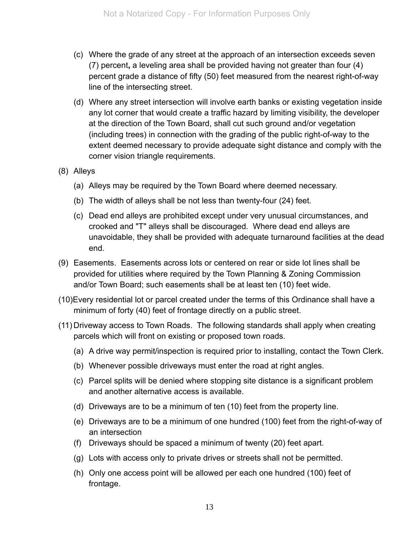- (c) Where the grade of any street at the approach of an intersection exceeds seven (7) percent**,** a leveling area shall be provided having not greater than four (4) percent grade a distance of fifty (50) feet measured from the nearest right-of-way line of the intersecting street.
- (d) Where any street intersection will involve earth banks or existing vegetation inside any lot corner that would create a traffic hazard by limiting visibility, the developer at the direction of the Town Board, shall cut such ground and/or vegetation (including trees) in connection with the grading of the public right-of-way to the extent deemed necessary to provide adequate sight distance and comply with the corner vision triangle requirements.
- (8) Alleys
	- (a) Alleys may be required by the Town Board where deemed necessary.
	- (b) The width of alleys shall be not less than twenty-four (24) feet.
	- (c) Dead end alleys are prohibited except under very unusual circumstances, and crooked and "T" alleys shall be discouraged. Where dead end alleys are unavoidable, they shall be provided with adequate turnaround facilities at the dead end.
- (9) Easements. Easements across lots or centered on rear or side lot lines shall be provided for utilities where required by the Town Planning & Zoning Commission and/or Town Board; such easements shall be at least ten (10) feet wide.
- (10)Every residential lot or parcel created under the terms of this Ordinance shall have a minimum of forty (40) feet of frontage directly on a public street.
- (11) Driveway access to Town Roads. The following standards shall apply when creating parcels which will front on existing or proposed town roads.
	- (a) A drive way permit/inspection is required prior to installing, contact the Town Clerk.
	- (b) Whenever possible driveways must enter the road at right angles.
	- (c) Parcel splits will be denied where stopping site distance is a significant problem and another alternative access is available.
	- (d) Driveways are to be a minimum of ten (10) feet from the property line.
	- (e) Driveways are to be a minimum of one hundred (100) feet from the right-of-way of an intersection
	- (f) Driveways should be spaced a minimum of twenty (20) feet apart.
	- (g) Lots with access only to private drives or streets shall not be permitted.
	- (h) Only one access point will be allowed per each one hundred (100) feet of frontage.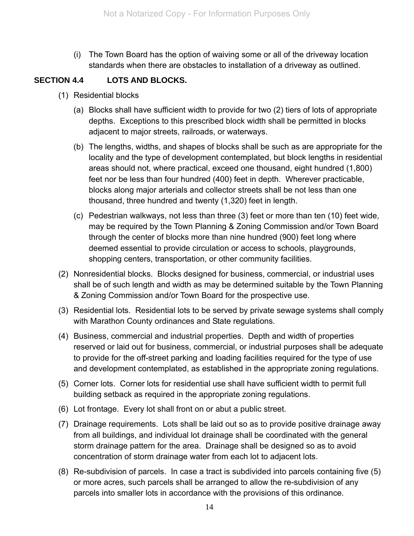(i) The Town Board has the option of waiving some or all of the driveway location standards when there are obstacles to installation of a driveway as outlined.

#### **SECTION 4.4 LOTS AND BLOCKS.**

- (1) Residential blocks
	- (a) Blocks shall have sufficient width to provide for two (2) tiers of lots of appropriate depths. Exceptions to this prescribed block width shall be permitted in blocks adjacent to major streets, railroads, or waterways.
	- (b) The lengths, widths, and shapes of blocks shall be such as are appropriate for the locality and the type of development contemplated, but block lengths in residential areas should not, where practical, exceed one thousand, eight hundred (1,800) feet nor be less than four hundred (400) feet in depth. Wherever practicable, blocks along major arterials and collector streets shall be not less than one thousand, three hundred and twenty (1,320) feet in length.
	- (c) Pedestrian walkways, not less than three (3) feet or more than ten (10) feet wide, may be required by the Town Planning & Zoning Commission and/or Town Board through the center of blocks more than nine hundred (900) feet long where deemed essential to provide circulation or access to schools, playgrounds, shopping centers, transportation, or other community facilities.
- (2) Nonresidential blocks. Blocks designed for business, commercial, or industrial uses shall be of such length and width as may be determined suitable by the Town Planning & Zoning Commission and/or Town Board for the prospective use.
- (3) Residential lots. Residential lots to be served by private sewage systems shall comply with Marathon County ordinances and State regulations.
- (4) Business, commercial and industrial properties. Depth and width of properties reserved or laid out for business, commercial, or industrial purposes shall be adequate to provide for the off-street parking and loading facilities required for the type of use and development contemplated, as established in the appropriate zoning regulations.
- (5) Corner lots. Corner lots for residential use shall have sufficient width to permit full building setback as required in the appropriate zoning regulations.
- (6) Lot frontage. Every lot shall front on or abut a public street.
- (7) Drainage requirements. Lots shall be laid out so as to provide positive drainage away from all buildings, and individual lot drainage shall be coordinated with the general storm drainage pattern for the area. Drainage shall be designed so as to avoid concentration of storm drainage water from each lot to adjacent lots.
- (8) Re-subdivision of parcels. In case a tract is subdivided into parcels containing five (5) or more acres, such parcels shall be arranged to allow the re-subdivision of any parcels into smaller lots in accordance with the provisions of this ordinance.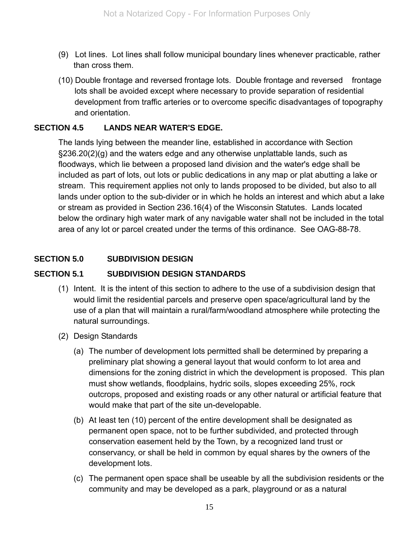- (9) Lot lines. Lot lines shall follow municipal boundary lines whenever practicable, rather than cross them.
- (10) Double frontage and reversed frontage lots. Double frontage and reversed frontage lots shall be avoided except where necessary to provide separation of residential development from traffic arteries or to overcome specific disadvantages of topography and orientation.

#### **SECTION 4.5 LANDS NEAR WATER'S EDGE.**

The lands lying between the meander line, established in accordance with Section §236.20(2)(g) and the waters edge and any otherwise unplattable lands, such as floodways, which lie between a proposed land division and the water's edge shall be included as part of lots, out lots or public dedications in any map or plat abutting a lake or stream. This requirement applies not only to lands proposed to be divided, but also to all lands under option to the sub-divider or in which he holds an interest and which abut a lake or stream as provided in Section 236.16(4) of the Wisconsin Statutes. Lands located below the ordinary high water mark of any navigable water shall not be included in the total area of any lot or parcel created under the terms of this ordinance. See OAG-88-78.

#### **SECTION 5.0 SUBDIVISION DESIGN**

#### **SECTION 5.1 SUBDIVISION DESIGN STANDARDS**

- (1) Intent. It is the intent of this section to adhere to the use of a subdivision design that would limit the residential parcels and preserve open space/agricultural land by the use of a plan that will maintain a rural/farm/woodland atmosphere while protecting the natural surroundings.
- (2) Design Standards
	- (a) The number of development lots permitted shall be determined by preparing a preliminary plat showing a general layout that would conform to lot area and dimensions for the zoning district in which the development is proposed. This plan must show wetlands, floodplains, hydric soils, slopes exceeding 25%, rock outcrops, proposed and existing roads or any other natural or artificial feature that would make that part of the site un-developable.
	- (b) At least ten (10) percent of the entire development shall be designated as permanent open space, not to be further subdivided, and protected through conservation easement held by the Town, by a recognized land trust or conservancy, or shall be held in common by equal shares by the owners of the development lots.
	- (c) The permanent open space shall be useable by all the subdivision residents or the community and may be developed as a park, playground or as a natural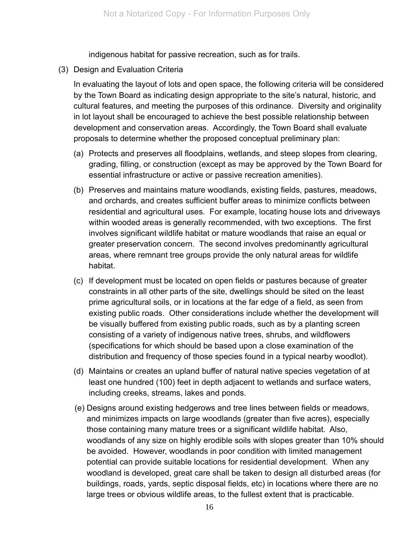indigenous habitat for passive recreation, such as for trails.

(3) Design and Evaluation Criteria

In evaluating the layout of lots and open space, the following criteria will be considered by the Town Board as indicating design appropriate to the site's natural, historic, and cultural features, and meeting the purposes of this ordinance. Diversity and originality in lot layout shall be encouraged to achieve the best possible relationship between development and conservation areas. Accordingly, the Town Board shall evaluate proposals to determine whether the proposed conceptual preliminary plan:

- (a) Protects and preserves all floodplains, wetlands, and steep slopes from clearing, grading, filling, or construction (except as may be approved by the Town Board for essential infrastructure or active or passive recreation amenities).
- (b) Preserves and maintains mature woodlands, existing fields, pastures, meadows, and orchards, and creates sufficient buffer areas to minimize conflicts between residential and agricultural uses. For example, locating house lots and driveways within wooded areas is generally recommended, with two exceptions. The first involves significant wildlife habitat or mature woodlands that raise an equal or greater preservation concern. The second involves predominantly agricultural areas, where remnant tree groups provide the only natural areas for wildlife habitat.
- (c) If development must be located on open fields or pastures because of greater constraints in all other parts of the site, dwellings should be sited on the least prime agricultural soils, or in locations at the far edge of a field, as seen from existing public roads. Other considerations include whether the development will be visually buffered from existing public roads, such as by a planting screen consisting of a variety of indigenous native trees, shrubs, and wildflowers (specifications for which should be based upon a close examination of the distribution and frequency of those species found in a typical nearby woodlot).
- (d) Maintains or creates an upland buffer of natural native species vegetation of at least one hundred (100) feet in depth adjacent to wetlands and surface waters, including creeks, streams, lakes and ponds.
- (e) Designs around existing hedgerows and tree lines between fields or meadows, and minimizes impacts on large woodlands (greater than five acres), especially those containing many mature trees or a significant wildlife habitat. Also, woodlands of any size on highly erodible soils with slopes greater than 10% should be avoided. However, woodlands in poor condition with limited management potential can provide suitable locations for residential development. When any woodland is developed, great care shall be taken to design all disturbed areas (for buildings, roads, yards, septic disposal fields, etc) in locations where there are no large trees or obvious wildlife areas, to the fullest extent that is practicable.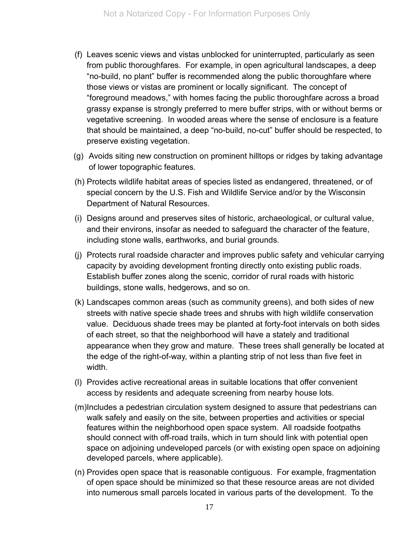- (f) Leaves scenic views and vistas unblocked for uninterrupted, particularly as seen from public thoroughfares. For example, in open agricultural landscapes, a deep "no-build, no plant" buffer is recommended along the public thoroughfare where those views or vistas are prominent or locally significant. The concept of "foreground meadows," with homes facing the public thoroughfare across a broad grassy expanse is strongly preferred to mere buffer strips, with or without berms or vegetative screening. In wooded areas where the sense of enclosure is a feature that should be maintained, a deep "no-build, no-cut" buffer should be respected, to preserve existing vegetation.
- (g) Avoids siting new construction on prominent hilltops or ridges by taking advantage of lower topographic features.
- (h) Protects wildlife habitat areas of species listed as endangered, threatened, or of special concern by the U.S. Fish and Wildlife Service and/or by the Wisconsin Department of Natural Resources.
- (i) Designs around and preserves sites of historic, archaeological, or cultural value, and their environs, insofar as needed to safeguard the character of the feature, including stone walls, earthworks, and burial grounds.
- (j) Protects rural roadside character and improves public safety and vehicular carrying capacity by avoiding development fronting directly onto existing public roads. Establish buffer zones along the scenic, corridor of rural roads with historic buildings, stone walls, hedgerows, and so on.
- (k) Landscapes common areas (such as community greens), and both sides of new streets with native specie shade trees and shrubs with high wildlife conservation value. Deciduous shade trees may be planted at forty-foot intervals on both sides of each street, so that the neighborhood will have a stately and traditional appearance when they grow and mature. These trees shall generally be located at the edge of the right-of-way, within a planting strip of not less than five feet in width.
- (l) Provides active recreational areas in suitable locations that offer convenient access by residents and adequate screening from nearby house lots.
- (m)Includes a pedestrian circulation system designed to assure that pedestrians can walk safely and easily on the site, between properties and activities or special features within the neighborhood open space system. All roadside footpaths should connect with off-road trails, which in turn should link with potential open space on adjoining undeveloped parcels (or with existing open space on adjoining developed parcels, where applicable).
- (n) Provides open space that is reasonable contiguous. For example, fragmentation of open space should be minimized so that these resource areas are not divided into numerous small parcels located in various parts of the development. To the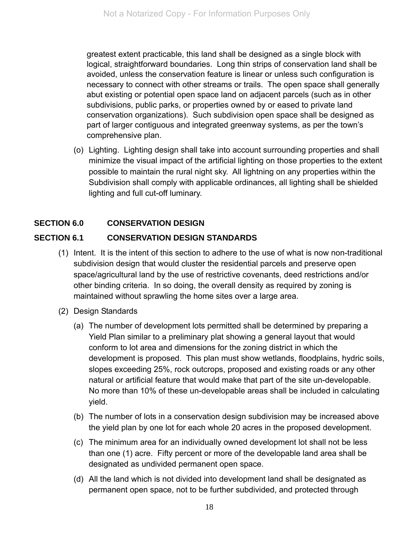greatest extent practicable, this land shall be designed as a single block with logical, straightforward boundaries. Long thin strips of conservation land shall be avoided, unless the conservation feature is linear or unless such configuration is necessary to connect with other streams or trails. The open space shall generally abut existing or potential open space land on adjacent parcels (such as in other subdivisions, public parks, or properties owned by or eased to private land conservation organizations). Such subdivision open space shall be designed as part of larger contiguous and integrated greenway systems, as per the town's comprehensive plan.

 (o) Lighting. Lighting design shall take into account surrounding properties and shall minimize the visual impact of the artificial lighting on those properties to the extent possible to maintain the rural night sky. All lightning on any properties within the Subdivision shall comply with applicable ordinances, all lighting shall be shielded lighting and full cut-off luminary.

#### **SECTION 6.0 CONSERVATION DESIGN**

#### **SECTION 6.1 CONSERVATION DESIGN STANDARDS**

- (1) Intent. It is the intent of this section to adhere to the use of what is now non-traditional subdivision design that would cluster the residential parcels and preserve open space/agricultural land by the use of restrictive covenants, deed restrictions and/or other binding criteria. In so doing, the overall density as required by zoning is maintained without sprawling the home sites over a large area.
- (2) Design Standards
	- (a) The number of development lots permitted shall be determined by preparing a Yield Plan similar to a preliminary plat showing a general layout that would conform to lot area and dimensions for the zoning district in which the development is proposed. This plan must show wetlands, floodplains, hydric soils, slopes exceeding 25%, rock outcrops, proposed and existing roads or any other natural or artificial feature that would make that part of the site un-developable. No more than 10% of these un-developable areas shall be included in calculating yield.
	- (b) The number of lots in a conservation design subdivision may be increased above the yield plan by one lot for each whole 20 acres in the proposed development.
	- (c) The minimum area for an individually owned development lot shall not be less than one (1) acre. Fifty percent or more of the developable land area shall be designated as undivided permanent open space.
	- (d) All the land which is not divided into development land shall be designated as permanent open space, not to be further subdivided, and protected through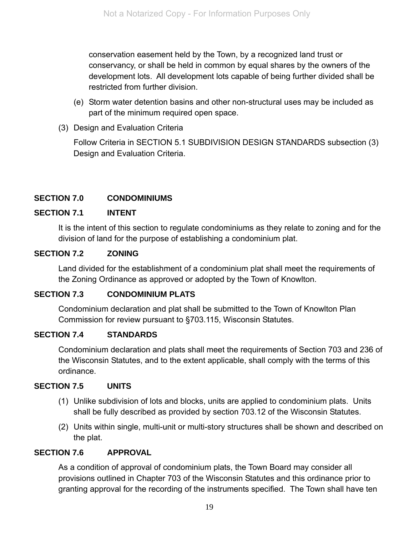conservation easement held by the Town, by a recognized land trust or conservancy, or shall be held in common by equal shares by the owners of the development lots. All development lots capable of being further divided shall be restricted from further division.

- (e) Storm water detention basins and other non-structural uses may be included as part of the minimum required open space.
- (3) Design and Evaluation Criteria

 Follow Criteria in SECTION 5.1 SUBDIVISION DESIGN STANDARDS subsection (3) Design and Evaluation Criteria.

## **SECTION 7.0 CONDOMINIUMS**

#### **SECTION 7.1 INTENT**

It is the intent of this section to regulate condominiums as they relate to zoning and for the division of land for the purpose of establishing a condominium plat.

#### **SECTION 7.2 ZONING**

Land divided for the establishment of a condominium plat shall meet the requirements of the Zoning Ordinance as approved or adopted by the Town of Knowlton.

#### **SECTION 7.3 CONDOMINIUM PLATS**

Condominium declaration and plat shall be submitted to the Town of Knowlton Plan Commission for review pursuant to §703.115, Wisconsin Statutes.

#### **SECTION 7.4 STANDARDS**

Condominium declaration and plats shall meet the requirements of Section 703 and 236 of the Wisconsin Statutes, and to the extent applicable, shall comply with the terms of this ordinance.

#### **SECTION 7.5 UNITS**

- (1) Unlike subdivision of lots and blocks, units are applied to condominium plats. Units shall be fully described as provided by section 703.12 of the Wisconsin Statutes.
- (2) Units within single, multi-unit or multi-story structures shall be shown and described on the plat.

#### **SECTION 7.6 APPROVAL**

As a condition of approval of condominium plats, the Town Board may consider all provisions outlined in Chapter 703 of the Wisconsin Statutes and this ordinance prior to granting approval for the recording of the instruments specified. The Town shall have ten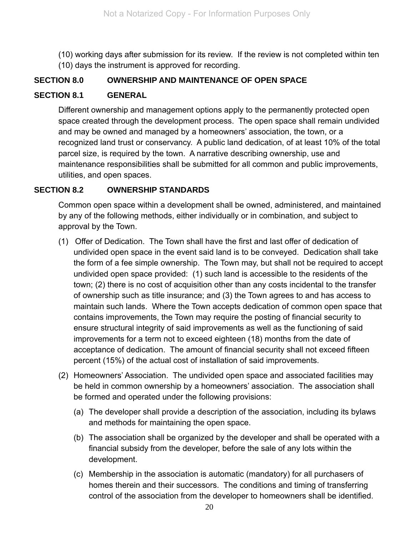(10) working days after submission for its review. If the review is not completed within ten (10) days the instrument is approved for recording.

#### **SECTION 8.0 OWNERSHIP AND MAINTENANCE OF OPEN SPACE**

#### **SECTION 8.1 GENERAL**

Different ownership and management options apply to the permanently protected open space created through the development process. The open space shall remain undivided and may be owned and managed by a homeowners' association, the town, or a recognized land trust or conservancy. A public land dedication, of at least 10% of the total parcel size, is required by the town. A narrative describing ownership, use and maintenance responsibilities shall be submitted for all common and public improvements, utilities, and open spaces.

#### **SECTION 8.2 OWNERSHIP STANDARDS**

Common open space within a development shall be owned, administered, and maintained by any of the following methods, either individually or in combination, and subject to approval by the Town.

- (1) Offer of Dedication. The Town shall have the first and last offer of dedication of undivided open space in the event said land is to be conveyed. Dedication shall take the form of a fee simple ownership. The Town may, but shall not be required to accept undivided open space provided: (1) such land is accessible to the residents of the town; (2) there is no cost of acquisition other than any costs incidental to the transfer of ownership such as title insurance; and (3) the Town agrees to and has access to maintain such lands. Where the Town accepts dedication of common open space that contains improvements, the Town may require the posting of financial security to ensure structural integrity of said improvements as well as the functioning of said improvements for a term not to exceed eighteen (18) months from the date of acceptance of dedication. The amount of financial security shall not exceed fifteen percent (15%) of the actual cost of installation of said improvements.
- (2) Homeowners' Association. The undivided open space and associated facilities may be held in common ownership by a homeowners' association. The association shall be formed and operated under the following provisions:
	- (a) The developer shall provide a description of the association, including its bylaws and methods for maintaining the open space.
	- (b) The association shall be organized by the developer and shall be operated with a financial subsidy from the developer, before the sale of any lots within the development.
	- (c) Membership in the association is automatic (mandatory) for all purchasers of homes therein and their successors. The conditions and timing of transferring control of the association from the developer to homeowners shall be identified.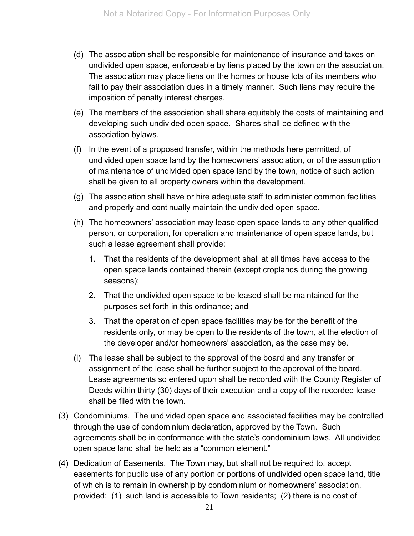- (d) The association shall be responsible for maintenance of insurance and taxes on undivided open space, enforceable by liens placed by the town on the association. The association may place liens on the homes or house lots of its members who fail to pay their association dues in a timely manner. Such liens may require the imposition of penalty interest charges.
- (e) The members of the association shall share equitably the costs of maintaining and developing such undivided open space. Shares shall be defined with the association bylaws.
- (f) In the event of a proposed transfer, within the methods here permitted, of undivided open space land by the homeowners' association, or of the assumption of maintenance of undivided open space land by the town, notice of such action shall be given to all property owners within the development.
- (g) The association shall have or hire adequate staff to administer common facilities and properly and continually maintain the undivided open space.
- (h) The homeowners' association may lease open space lands to any other qualified person, or corporation, for operation and maintenance of open space lands, but such a lease agreement shall provide:
	- 1. That the residents of the development shall at all times have access to the open space lands contained therein (except croplands during the growing seasons);
	- 2. That the undivided open space to be leased shall be maintained for the purposes set forth in this ordinance; and
	- 3. That the operation of open space facilities may be for the benefit of the residents only, or may be open to the residents of the town, at the election of the developer and/or homeowners' association, as the case may be.
- (i) The lease shall be subject to the approval of the board and any transfer or assignment of the lease shall be further subject to the approval of the board. Lease agreements so entered upon shall be recorded with the County Register of Deeds within thirty (30) days of their execution and a copy of the recorded lease shall be filed with the town.
- (3) Condominiums. The undivided open space and associated facilities may be controlled through the use of condominium declaration, approved by the Town. Such agreements shall be in conformance with the state's condominium laws. All undivided open space land shall be held as a "common element."
- (4) Dedication of Easements. The Town may, but shall not be required to, accept easements for public use of any portion or portions of undivided open space land, title of which is to remain in ownership by condominium or homeowners' association, provided: (1) such land is accessible to Town residents; (2) there is no cost of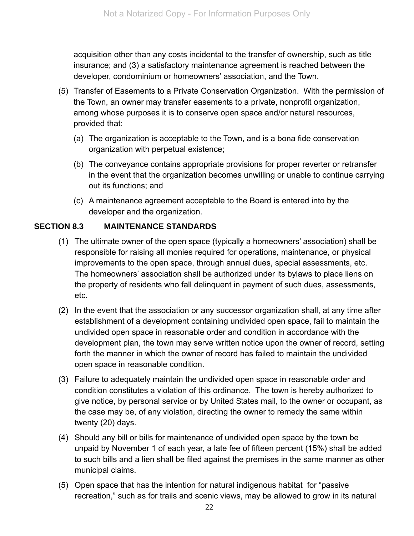acquisition other than any costs incidental to the transfer of ownership, such as title insurance; and (3) a satisfactory maintenance agreement is reached between the developer, condominium or homeowners' association, and the Town.

- (5) Transfer of Easements to a Private Conservation Organization. With the permission of the Town, an owner may transfer easements to a private, nonprofit organization, among whose purposes it is to conserve open space and/or natural resources, provided that:
	- (a) The organization is acceptable to the Town, and is a bona fide conservation organization with perpetual existence;
	- (b) The conveyance contains appropriate provisions for proper reverter or retransfer in the event that the organization becomes unwilling or unable to continue carrying out its functions; and
	- (c) A maintenance agreement acceptable to the Board is entered into by the developer and the organization.

#### **SECTION 8.3 MAINTENANCE STANDARDS**

- (1) The ultimate owner of the open space (typically a homeowners' association) shall be responsible for raising all monies required for operations, maintenance, or physical improvements to the open space, through annual dues, special assessments, etc. The homeowners' association shall be authorized under its bylaws to place liens on the property of residents who fall delinquent in payment of such dues, assessments, etc.
- (2) In the event that the association or any successor organization shall, at any time after establishment of a development containing undivided open space, fail to maintain the undivided open space in reasonable order and condition in accordance with the development plan, the town may serve written notice upon the owner of record, setting forth the manner in which the owner of record has failed to maintain the undivided open space in reasonable condition.
- (3) Failure to adequately maintain the undivided open space in reasonable order and condition constitutes a violation of this ordinance. The town is hereby authorized to give notice, by personal service or by United States mail, to the owner or occupant, as the case may be, of any violation, directing the owner to remedy the same within twenty (20) days.
- (4) Should any bill or bills for maintenance of undivided open space by the town be unpaid by November 1 of each year, a late fee of fifteen percent (15%) shall be added to such bills and a lien shall be filed against the premises in the same manner as other municipal claims.
- (5) Open space that has the intention for natural indigenous habitat for "passive recreation," such as for trails and scenic views, may be allowed to grow in its natural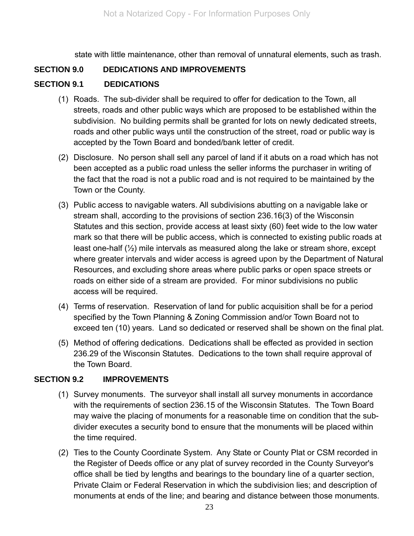state with little maintenance, other than removal of unnatural elements, such as trash.

#### **SECTION 9.0 DEDICATIONS AND IMPROVEMENTS**

#### **SECTION 9.1 DEDICATIONS**

- (1) Roads. The sub-divider shall be required to offer for dedication to the Town, all streets, roads and other public ways which are proposed to be established within the subdivision. No building permits shall be granted for lots on newly dedicated streets, roads and other public ways until the construction of the street, road or public way is accepted by the Town Board and bonded/bank letter of credit.
- (2) Disclosure. No person shall sell any parcel of land if it abuts on a road which has not been accepted as a public road unless the seller informs the purchaser in writing of the fact that the road is not a public road and is not required to be maintained by the Town or the County.
- (3) Public access to navigable waters. All subdivisions abutting on a navigable lake or stream shall, according to the provisions of section 236.16(3) of the Wisconsin Statutes and this section, provide access at least sixty (60) feet wide to the low water mark so that there will be public access, which is connected to existing public roads at least one-half (½) mile intervals as measured along the lake or stream shore, except where greater intervals and wider access is agreed upon by the Department of Natural Resources, and excluding shore areas where public parks or open space streets or roads on either side of a stream are provided. For minor subdivisions no public access will be required.
- (4) Terms of reservation. Reservation of land for public acquisition shall be for a period specified by the Town Planning & Zoning Commission and/or Town Board not to exceed ten (10) years. Land so dedicated or reserved shall be shown on the final plat.
- (5) Method of offering dedications. Dedications shall be effected as provided in section 236.29 of the Wisconsin Statutes. Dedications to the town shall require approval of the Town Board.

#### **SECTION 9.2 IMPROVEMENTS**

- (1) Survey monuments. The surveyor shall install all survey monuments in accordance with the requirements of section 236.15 of the Wisconsin Statutes. The Town Board may waive the placing of monuments for a reasonable time on condition that the subdivider executes a security bond to ensure that the monuments will be placed within the time required.
- (2) Ties to the County Coordinate System. Any State or County Plat or CSM recorded in the Register of Deeds office or any plat of survey recorded in the County Surveyor's office shall be tied by lengths and bearings to the boundary line of a quarter section, Private Claim or Federal Reservation in which the subdivision lies; and description of monuments at ends of the line; and bearing and distance between those monuments.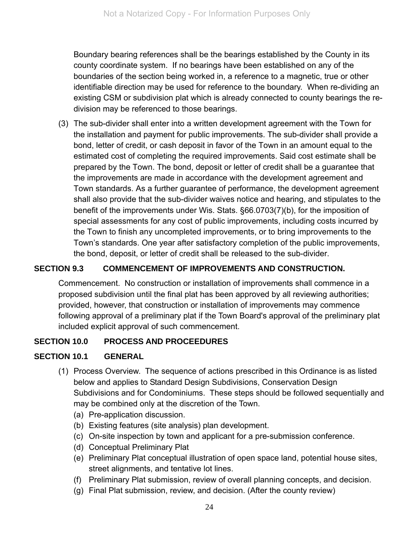Boundary bearing references shall be the bearings established by the County in its county coordinate system. If no bearings have been established on any of the boundaries of the section being worked in, a reference to a magnetic, true or other identifiable direction may be used for reference to the boundary. When re-dividing an existing CSM or subdivision plat which is already connected to county bearings the redivision may be referenced to those bearings.

 (3) The sub-divider shall enter into a written development agreement with the Town for the installation and payment for public improvements. The sub-divider shall provide a bond, letter of credit, or cash deposit in favor of the Town in an amount equal to the estimated cost of completing the required improvements. Said cost estimate shall be prepared by the Town. The bond, deposit or letter of credit shall be a guarantee that the improvements are made in accordance with the development agreement and Town standards. As a further guarantee of performance, the development agreement shall also provide that the sub-divider waives notice and hearing, and stipulates to the benefit of the improvements under Wis. Stats. §66.0703(7)(b), for the imposition of special assessments for any cost of public improvements, including costs incurred by the Town to finish any uncompleted improvements, or to bring improvements to the Town's standards. One year after satisfactory completion of the public improvements, the bond, deposit, or letter of credit shall be released to the sub-divider.

#### **SECTION 9.3 COMMENCEMENT OF IMPROVEMENTS AND CONSTRUCTION.**

Commencement. No construction or installation of improvements shall commence in a proposed subdivision until the final plat has been approved by all reviewing authorities; provided, however, that construction or installation of improvements may commence following approval of a preliminary plat if the Town Board's approval of the preliminary plat included explicit approval of such commencement.

#### **SECTION 10.0 PROCESS AND PROCEEDURES**

#### **SECTION 10.1 GENERAL**

- (1) Process Overview. The sequence of actions prescribed in this Ordinance is as listed below and applies to Standard Design Subdivisions, Conservation Design Subdivisions and for Condominiums. These steps should be followed sequentially and may be combined only at the discretion of the Town.
	- (a) Pre-application discussion.
	- (b) Existing features (site analysis) plan development.
	- (c) On-site inspection by town and applicant for a pre-submission conference.
	- (d) Conceptual Preliminary Plat
	- (e) Preliminary Plat conceptual illustration of open space land, potential house sites, street alignments, and tentative lot lines.
	- (f) Preliminary Plat submission, review of overall planning concepts, and decision.
	- (g) Final Plat submission, review, and decision. (After the county review)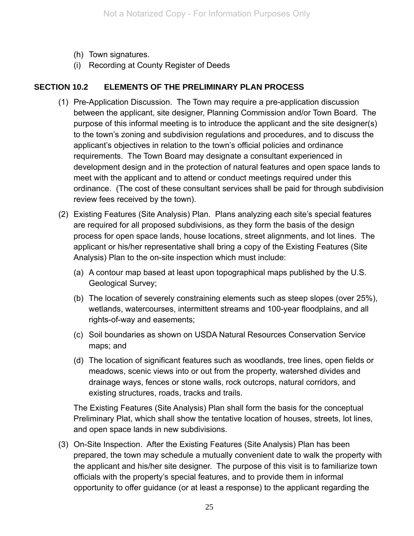- (h) Town signatures.
- (i) Recording at County Register of Deeds

#### **SECTION 10.2 ELEMENTS OF THE PRELIMINARY PLAN PROCESS**

- (1) Pre-Application Discussion. The Town may require a pre-application discussion between the applicant, site designer, Planning Commission and/or Town Board. The purpose of this informal meeting is to introduce the applicant and the site designer(s) to the town's zoning and subdivision regulations and procedures, and to discuss the applicant's objectives in relation to the town's official policies and ordinance requirements. The Town Board may designate a consultant experienced in development design and in the protection of natural features and open space lands to meet with the applicant and to attend or conduct meetings required under this ordinance. (The cost of these consultant services shall be paid for through subdivision review fees received by the town).
- (2) Existing Features (Site Analysis) Plan. Plans analyzing each site's special features are required for all proposed subdivisions, as they form the basis of the design process for open space lands, house locations, street alignments, and lot lines. The applicant or his/her representative shall bring a copy of the Existing Features (Site Analysis) Plan to the on-site inspection which must include:
	- (a) A contour map based at least upon topographical maps published by the U.S. Geological Survey;
	- (b) The location of severely constraining elements such as steep slopes (over 25%), wetlands, watercourses, intermittent streams and 100-year floodplains, and all rights-of-way and easements;
	- (c) Soil boundaries as shown on USDA Natural Resources Conservation Service maps; and
	- (d) The location of significant features such as woodlands, tree lines, open fields or meadows, scenic views into or out from the property, watershed divides and drainage ways, fences or stone walls, rock outcrops, natural corridors, and existing structures, roads, tracks and trails.

The Existing Features (Site Analysis) Plan shall form the basis for the conceptual Preliminary Plat, which shall show the tentative location of houses, streets, lot lines, and open space lands in new subdivisions.

 (3) On-Site Inspection. After the Existing Features (Site Analysis) Plan has been prepared, the town may schedule a mutually convenient date to walk the property with the applicant and his/her site designer. The purpose of this visit is to familiarize town officials with the property's special features, and to provide them in informal opportunity to offer guidance (or at least a response) to the applicant regarding the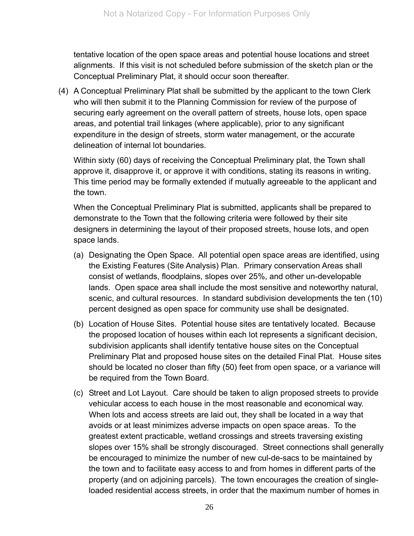tentative location of the open space areas and potential house locations and street alignments. If this visit is not scheduled before submission of the sketch plan or the Conceptual Preliminary Plat, it should occur soon thereafter.

(4) A Conceptual Preliminary Plat shall be submitted by the applicant to the town Clerk who will then submit it to the Planning Commission for review of the purpose of securing early agreement on the overall pattern of streets, house lots, open space areas, and potential trail linkages (where applicable), prior to any significant expenditure in the design of streets, storm water management, or the accurate delineation of internal lot boundaries.

Within sixty (60) days of receiving the Conceptual Preliminary plat, the Town shall approve it, disapprove it, or approve it with conditions, stating its reasons in writing. This time period may be formally extended if mutually agreeable to the applicant and the town.

When the Conceptual Preliminary Plat is submitted, applicants shall be prepared to demonstrate to the Town that the following criteria were followed by their site designers in determining the layout of their proposed streets, house lots, and open space lands.

- (a) Designating the Open Space. All potential open space areas are identified, using the Existing Features (Site Analysis) Plan. Primary conservation Areas shall consist of wetlands, floodplains, slopes over 25%, and other un-developable lands. Open space area shall include the most sensitive and noteworthy natural, scenic, and cultural resources. In standard subdivision developments the ten (10) percent designed as open space for community use shall be designated.
- (b) Location of House Sites. Potential house sites are tentatively located. Because the proposed location of houses within each lot represents a significant decision, subdivision applicants shall identify tentative house sites on the Conceptual Preliminary Plat and proposed house sites on the detailed Final Plat. House sites should be located no closer than fifty (50) feet from open space, or a variance will be required from the Town Board.
- (c) Street and Lot Layout. Care should be taken to align proposed streets to provide vehicular access to each house in the most reasonable and economical way. When lots and access streets are laid out, they shall be located in a way that avoids or at least minimizes adverse impacts on open space areas. To the greatest extent practicable, wetland crossings and streets traversing existing slopes over 15% shall be strongly discouraged. Street connections shall generally be encouraged to minimize the number of new cul-de-sacs to be maintained by the town and to facilitate easy access to and from homes in different parts of the property (and on adjoining parcels). The town encourages the creation of singleloaded residential access streets, in order that the maximum number of homes in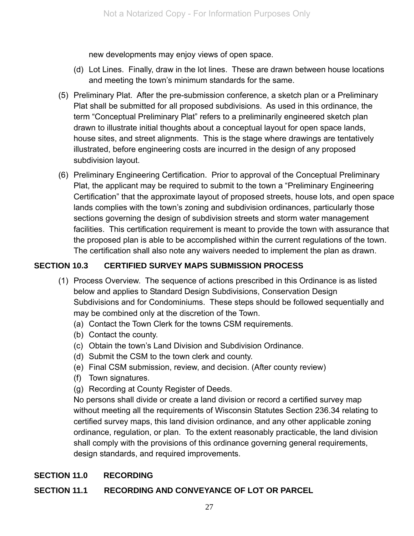new developments may enjoy views of open space.

- (d) Lot Lines. Finally, draw in the lot lines. These are drawn between house locations and meeting the town's minimum standards for the same.
- (5) Preliminary Plat. After the pre-submission conference, a sketch plan or a Preliminary Plat shall be submitted for all proposed subdivisions. As used in this ordinance, the term "Conceptual Preliminary Plat" refers to a preliminarily engineered sketch plan drawn to illustrate initial thoughts about a conceptual layout for open space lands, house sites, and street alignments. This is the stage where drawings are tentatively illustrated, before engineering costs are incurred in the design of any proposed subdivision layout.
- (6) Preliminary Engineering Certification. Prior to approval of the Conceptual Preliminary Plat, the applicant may be required to submit to the town a "Preliminary Engineering Certification" that the approximate layout of proposed streets, house lots, and open space lands complies with the town's zoning and subdivision ordinances, particularly those sections governing the design of subdivision streets and storm water management facilities. This certification requirement is meant to provide the town with assurance that the proposed plan is able to be accomplished within the current regulations of the town. The certification shall also note any waivers needed to implement the plan as drawn.

#### **SECTION 10.3 CERTIFIED SURVEY MAPS SUBMISSION PROCESS**

- (1) Process Overview. The sequence of actions prescribed in this Ordinance is as listed below and applies to Standard Design Subdivisions, Conservation Design Subdivisions and for Condominiums. These steps should be followed sequentially and may be combined only at the discretion of the Town.
	- (a) Contact the Town Clerk for the towns CSM requirements.
	- (b) Contact the county.
	- (c) Obtain the town's Land Division and Subdivision Ordinance.
	- (d) Submit the CSM to the town clerk and county.
	- (e) Final CSM submission, review, and decision. (After county review)
	- (f) Town signatures.
	- (g) Recording at County Register of Deeds.

No persons shall divide or create a land division or record a certified survey map without meeting all the requirements of Wisconsin Statutes Section 236.34 relating to certified survey maps, this land division ordinance, and any other applicable zoning ordinance, regulation, or plan. To the extent reasonably practicable, the land division shall comply with the provisions of this ordinance governing general requirements, design standards, and required improvements.

#### **SECTION 11.0 RECORDING**

#### **SECTION 11.1 RECORDING AND CONVEYANCE OF LOT OR PARCEL**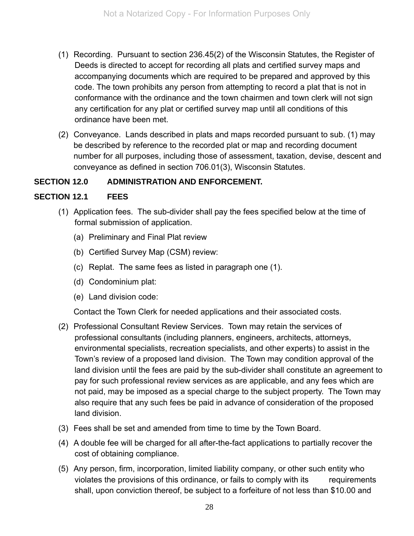- (1) Recording. Pursuant to section 236.45(2) of the Wisconsin Statutes, the Register of Deeds is directed to accept for recording all plats and certified survey maps and accompanying documents which are required to be prepared and approved by this code. The town prohibits any person from attempting to record a plat that is not in conformance with the ordinance and the town chairmen and town clerk will not sign any certification for any plat or certified survey map until all conditions of this ordinance have been met.
- (2) Conveyance. Lands described in plats and maps recorded pursuant to sub. (1) may be described by reference to the recorded plat or map and recording document number for all purposes, including those of assessment, taxation, devise, descent and conveyance as defined in section 706.01(3), Wisconsin Statutes.

#### **SECTION 12.0 ADMINISTRATION AND ENFORCEMENT.**

#### **SECTION 12.1 FEES**

- (1) Application fees. The sub-divider shall pay the fees specified below at the time of formal submission of application.
	- (a) Preliminary and Final Plat review
	- (b) Certified Survey Map (CSM) review:
	- (c) Replat. The same fees as listed in paragraph one (1).
	- (d) Condominium plat:
	- (e) Land division code:

Contact the Town Clerk for needed applications and their associated costs.

- (2) Professional Consultant Review Services.Town may retain the services of professional consultants (including planners, engineers, architects, attorneys, environmental specialists, recreation specialists, and other experts) to assist in the Town's review of a proposed land division. The Town may condition approval of the land division until the fees are paid by the sub-divider shall constitute an agreement to pay for such professional review services as are applicable, and any fees which are not paid, may be imposed as a special charge to the subject property. The Town may also require that any such fees be paid in advance of consideration of the proposed land division.
- (3) Fees shall be set and amended from time to time by the Town Board.
- (4) A double fee will be charged for all after-the-fact applications to partially recover the cost of obtaining compliance.
- (5) Any person, firm, incorporation, limited liability company, or other such entity who violates the provisions of this ordinance, or fails to comply with its requirements shall, upon conviction thereof, be subject to a forfeiture of not less than \$10.00 and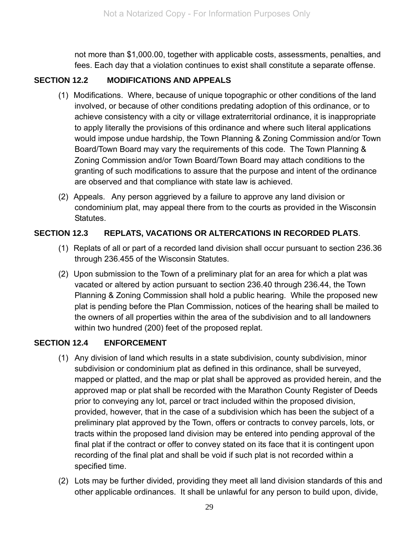not more than \$1,000.00, together with applicable costs, assessments, penalties, and fees. Each day that a violation continues to exist shall constitute a separate offense.

#### **SECTION 12.2 MODIFICATIONS AND APPEALS**

- (1) Modifications. Where, because of unique topographic or other conditions of the land involved, or because of other conditions predating adoption of this ordinance, or to achieve consistency with a city or village extraterritorial ordinance, it is inappropriate to apply literally the provisions of this ordinance and where such literal applications would impose undue hardship, the Town Planning & Zoning Commission and/or Town Board/Town Board may vary the requirements of this code. The Town Planning & Zoning Commission and/or Town Board/Town Board may attach conditions to the granting of such modifications to assure that the purpose and intent of the ordinance are observed and that compliance with state law is achieved.
- (2) Appeals. Any person aggrieved by a failure to approve any land division or condominium plat, may appeal there from to the courts as provided in the Wisconsin Statutes.

#### **SECTION 12.3 REPLATS, VACATIONS OR ALTERCATIONS IN RECORDED PLATS**.

- (1) Replats of all or part of a recorded land division shall occur pursuant to section 236.36 through 236.455 of the Wisconsin Statutes.
- (2) Upon submission to the Town of a preliminary plat for an area for which a plat was vacated or altered by action pursuant to section 236.40 through 236.44, the Town Planning & Zoning Commission shall hold a public hearing. While the proposed new plat is pending before the Plan Commission, notices of the hearing shall be mailed to the owners of all properties within the area of the subdivision and to all landowners within two hundred (200) feet of the proposed replat.

#### **SECTION 12.4 ENFORCEMENT**

- (1) Any division of land which results in a state subdivision, county subdivision, minor subdivision or condominium plat as defined in this ordinance, shall be surveyed, mapped or platted, and the map or plat shall be approved as provided herein, and the approved map or plat shall be recorded with the Marathon County Register of Deeds prior to conveying any lot, parcel or tract included within the proposed division, provided, however, that in the case of a subdivision which has been the subject of a preliminary plat approved by the Town, offers or contracts to convey parcels, lots, or tracts within the proposed land division may be entered into pending approval of the final plat if the contract or offer to convey stated on its face that it is contingent upon recording of the final plat and shall be void if such plat is not recorded within a specified time.
- (2) Lots may be further divided, providing they meet all land division standards of this and other applicable ordinances. It shall be unlawful for any person to build upon, divide,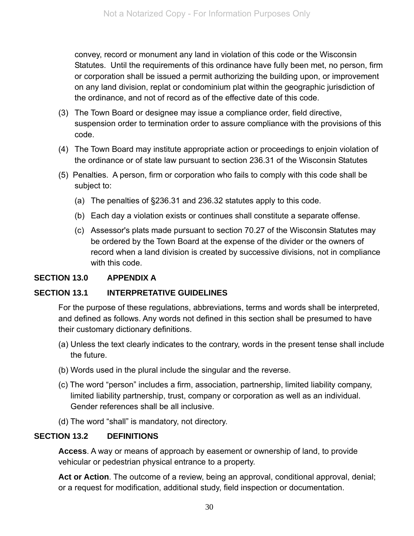convey, record or monument any land in violation of this code or the Wisconsin Statutes. Until the requirements of this ordinance have fully been met, no person, firm or corporation shall be issued a permit authorizing the building upon, or improvement on any land division, replat or condominium plat within the geographic jurisdiction of the ordinance, and not of record as of the effective date of this code.

- (3) The Town Board or designee may issue a compliance order, field directive, suspension order to termination order to assure compliance with the provisions of this code.
- (4) The Town Board may institute appropriate action or proceedings to enjoin violation of the ordinance or of state law pursuant to section 236.31 of the Wisconsin Statutes
- (5) Penalties. A person, firm or corporation who fails to comply with this code shall be subject to:
	- (a) The penalties of §236.31 and 236.32 statutes apply to this code.
	- (b) Each day a violation exists or continues shall constitute a separate offense.
	- (c) Assessor's plats made pursuant to section 70.27 of the Wisconsin Statutes may be ordered by the Town Board at the expense of the divider or the owners of record when a land division is created by successive divisions, not in compliance with this code.

#### **SECTION 13.0 APPENDIX A**

#### **SECTION 13.1 INTERPRETATIVE GUIDELINES**

For the purpose of these regulations, abbreviations, terms and words shall be interpreted, and defined as follows. Any words not defined in this section shall be presumed to have their customary dictionary definitions.

- (a) Unless the text clearly indicates to the contrary, words in the present tense shall include the future.
- (b) Words used in the plural include the singular and the reverse.
- (c) The word "person" includes a firm, association, partnership, limited liability company, limited liability partnership, trust, company or corporation as well as an individual. Gender references shall be all inclusive.
- (d) The word "shall" is mandatory, not directory.

#### **SECTION 13.2 DEFINITIONS**

**Access**. A way or means of approach by easement or ownership of land, to provide vehicular or pedestrian physical entrance to a property.

Act or Action. The outcome of a review, being an approval, conditional approval, denial; or a request for modification, additional study, field inspection or documentation.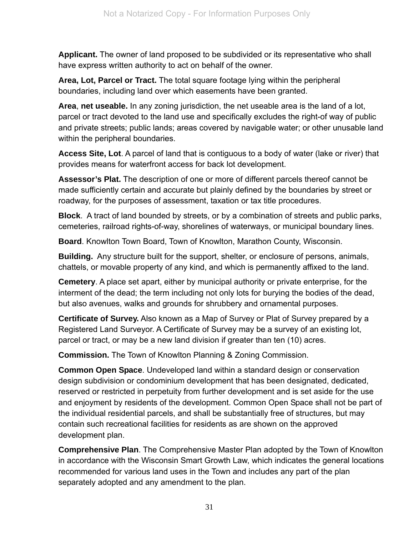**Applicant.** The owner of land proposed to be subdivided or its representative who shall have express written authority to act on behalf of the owner.

**Area, Lot, Parcel or Tract.** The total square footage lying within the peripheral boundaries, including land over which easements have been granted.

**Area**, **net useable.** In any zoning jurisdiction, the net useable area is the land of a lot, parcel or tract devoted to the land use and specifically excludes the right-of way of public and private streets; public lands; areas covered by navigable water; or other unusable land within the peripheral boundaries.

**Access Site, Lot**. A parcel of land that is contiguous to a body of water (lake or river) that provides means for waterfront access for back lot development.

**Assessor's Plat.** The description of one or more of different parcels thereof cannot be made sufficiently certain and accurate but plainly defined by the boundaries by street or roadway, for the purposes of assessment, taxation or tax title procedures.

**Block**. A tract of land bounded by streets, or by a combination of streets and public parks, cemeteries, railroad rights-of-way, shorelines of waterways, or municipal boundary lines.

**Board**. Knowlton Town Board, Town of Knowlton, Marathon County, Wisconsin.

**Building.** Any structure built for the support, shelter, or enclosure of persons, animals, chattels, or movable property of any kind, and which is permanently affixed to the land.

**Cemetery**. A place set apart, either by municipal authority or private enterprise, for the interment of the dead; the term including not only lots for burying the bodies of the dead, but also avenues, walks and grounds for shrubbery and ornamental purposes.

**Certificate of Survey.** Also known as a Map of Survey or Plat of Survey prepared by a Registered Land Surveyor. A Certificate of Survey may be a survey of an existing lot, parcel or tract, or may be a new land division if greater than ten (10) acres.

**Commission.** The Town of Knowlton Planning & Zoning Commission.

**Common Open Space**. Undeveloped land within a standard design or conservation design subdivision or condominium development that has been designated, dedicated, reserved or restricted in perpetuity from further development and is set aside for the use and enjoyment by residents of the development. Common Open Space shall not be part of the individual residential parcels, and shall be substantially free of structures, but may contain such recreational facilities for residents as are shown on the approved development plan.

**Comprehensive Plan**. The Comprehensive Master Plan adopted by the Town of Knowlton in accordance with the Wisconsin Smart Growth Law, which indicates the general locations recommended for various land uses in the Town and includes any part of the plan separately adopted and any amendment to the plan.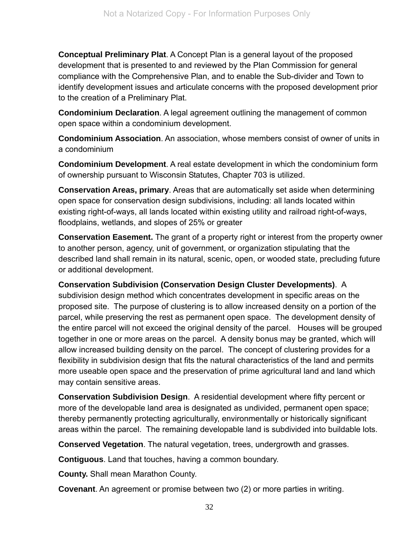**Conceptual Preliminary Plat**. A Concept Plan is a general layout of the proposed development that is presented to and reviewed by the Plan Commission for general compliance with the Comprehensive Plan, and to enable the Sub-divider and Town to identify development issues and articulate concerns with the proposed development prior to the creation of a Preliminary Plat.

**Condominium Declaration**. A legal agreement outlining the management of common open space within a condominium development.

**Condominium Association**. An association, whose members consist of owner of units in a condominium

**Condominium Development**. A real estate development in which the condominium form of ownership pursuant to Wisconsin Statutes, Chapter 703 is utilized.

**Conservation Areas, primary**. Areas that are automatically set aside when determining open space for conservation design subdivisions, including: all lands located within existing right-of-ways, all lands located within existing utility and railroad right-of-ways, floodplains, wetlands, and slopes of 25% or greater

**Conservation Easement.** The grant of a property right or interest from the property owner to another person, agency, unit of government, or organization stipulating that the described land shall remain in its natural, scenic, open, or wooded state, precluding future or additional development.

**Conservation Subdivision (Conservation Design Cluster Developments)**. A subdivision design method which concentrates development in specific areas on the

proposed site. The purpose of clustering is to allow increased density on a portion of the parcel, while preserving the rest as permanent open space. The development density of the entire parcel will not exceed the original density of the parcel. Houses will be grouped together in one or more areas on the parcel. A density bonus may be granted, which will allow increased building density on the parcel. The concept of clustering provides for a flexibility in subdivision design that fits the natural characteristics of the land and permits more useable open space and the preservation of prime agricultural land and land which may contain sensitive areas.

**Conservation Subdivision Design**. A residential development where fifty percent or more of the developable land area is designated as undivided, permanent open space; thereby permanently protecting agriculturally, environmentally or historically significant areas within the parcel. The remaining developable land is subdivided into buildable lots.

**Conserved Vegetation**. The natural vegetation, trees, undergrowth and grasses.

**Contiguous**. Land that touches, having a common boundary.

**County.** Shall mean Marathon County.

**Covenant**. An agreement or promise between two (2) or more parties in writing.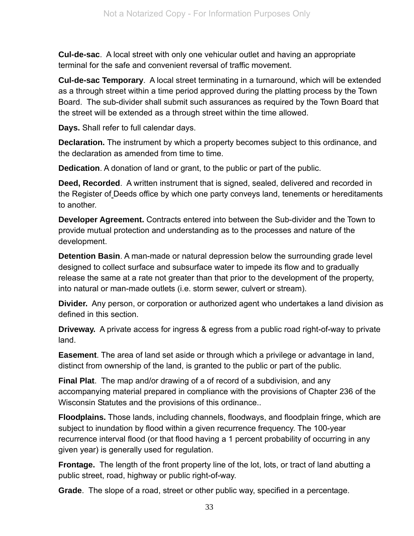**Cul-de-sac**. A local street with only one vehicular outlet and having an appropriate terminal for the safe and convenient reversal of traffic movement.

**Cul-de-sac Temporary**. A local street terminating in a turnaround, which will be extended as a through street within a time period approved during the platting process by the Town Board. The sub-divider shall submit such assurances as required by the Town Board that the street will be extended as a through street within the time allowed.

**Days.** Shall refer to full calendar days.

**Declaration.** The instrument by which a property becomes subject to this ordinance, and the declaration as amended from time to time.

**Dedication**. A donation of land or grant, to the public or part of the public.

**Deed, Recorded**. A written instrument that is signed, sealed, delivered and recorded in the Register of Deeds office by which one party conveys land, tenements or hereditaments to another.

**Developer Agreement.** Contracts entered into between the Sub-divider and the Town to provide mutual protection and understanding as to the processes and nature of the development.

**Detention Basin**. A man-made or natural depression below the surrounding grade level designed to collect surface and subsurface water to impede its flow and to gradually release the same at a rate not greater than that prior to the development of the property, into natural or man-made outlets (i.e. storm sewer, culvert or stream).

**Divider.** Any person, or corporation or authorized agent who undertakes a land division as defined in this section.

**Driveway.** A private access for ingress & egress from a public road right-of-way to private land.

**Easement**. The area of land set aside or through which a privilege or advantage in land, distinct from ownership of the land, is granted to the public or part of the public.

**Final Plat**. The map and/or drawing of a of record of a subdivision, and any accompanying material prepared in compliance with the provisions of Chapter 236 of the Wisconsin Statutes and the provisions of this ordinance..

**Floodplains.** Those lands, including channels, floodways, and floodplain fringe, which are subject to inundation by flood within a given recurrence frequency. The 100-year recurrence interval flood (or that flood having a 1 percent probability of occurring in any given year) is generally used for regulation.

**Frontage.** The length of the front property line of the lot, lots, or tract of land abutting a public street, road, highway or public right-of-way.

**Grade**. The slope of a road, street or other public way, specified in a percentage.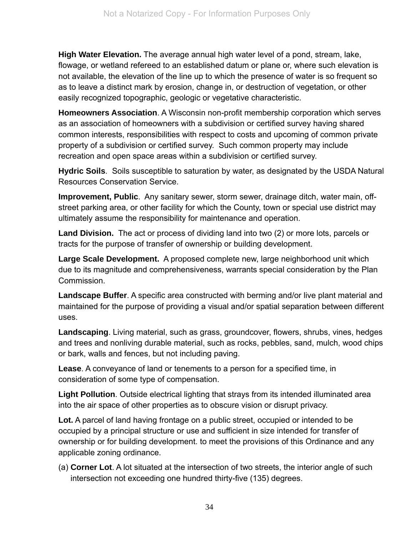**High Water Elevation.** The average annual high water level of a pond, stream, lake, flowage, or wetland refereed to an established datum or plane or, where such elevation is not available, the elevation of the line up to which the presence of water is so frequent so as to leave a distinct mark by erosion, change in, or destruction of vegetation, or other easily recognized topographic, geologic or vegetative characteristic.

**Homeowners Association**. A Wisconsin non-profit membership corporation which serves as an association of homeowners with a subdivision or certified survey having shared common interests, responsibilities with respect to costs and upcoming of common private property of a subdivision or certified survey. Such common property may include recreation and open space areas within a subdivision or certified survey.

**Hydric Soils**. Soils susceptible to saturation by water, as designated by the USDA Natural Resources Conservation Service.

**Improvement, Public**. Any sanitary sewer, storm sewer, drainage ditch, water main, offstreet parking area, or other facility for which the County, town or special use district may ultimately assume the responsibility for maintenance and operation.

**Land Division.** The act or process of dividing land into two (2) or more lots, parcels or tracts for the purpose of transfer of ownership or building development.

**Large Scale Development.** A proposed complete new, large neighborhood unit which due to its magnitude and comprehensiveness, warrants special consideration by the Plan **Commission** 

**Landscape Buffer**. A specific area constructed with berming and/or live plant material and maintained for the purpose of providing a visual and/or spatial separation between different uses.

**Landscaping**. Living material, such as grass, groundcover, flowers, shrubs, vines, hedges and trees and nonliving durable material, such as rocks, pebbles, sand, mulch, wood chips or bark, walls and fences, but not including paving.

**Lease**. A conveyance of land or tenements to a person for a specified time, in consideration of some type of compensation.

**Light Pollution**. Outside electrical lighting that strays from its intended illuminated area into the air space of other properties as to obscure vision or disrupt privacy.

Lot. A parcel of land having frontage on a public street, occupied or intended to be occupied by a principal structure or use and sufficient in size intended for transfer of ownership or for building development. to meet the provisions of this Ordinance and any applicable zoning ordinance.

(a) **Corner Lot**. A lot situated at the intersection of two streets, the interior angle of such intersection not exceeding one hundred thirty-five (135) degrees.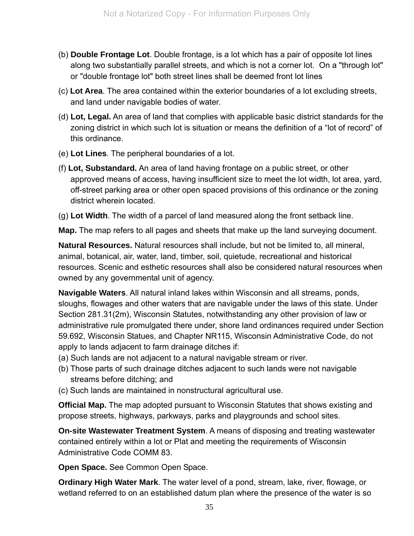- (b) **Double Frontage Lot**. Double frontage, is a lot which has a pair of opposite lot lines along two substantially parallel streets, and which is not a corner lot. On a "through lot" or "double frontage lot" both street lines shall be deemed front lot lines
- (c) **Lot Area**. The area contained within the exterior boundaries of a lot excluding streets, and land under navigable bodies of water.
- (d) **Lot, Legal.** An area of land that complies with applicable basic district standards for the zoning district in which such lot is situation or means the definition of a "lot of record" of this ordinance.
- (e) **Lot Lines**. The peripheral boundaries of a lot.
- (f) **Lot, Substandard.** An area of land having frontage on a public street, or other approved means of access, having insufficient size to meet the lot width, lot area, yard, off-street parking area or other open spaced provisions of this ordinance or the zoning district wherein located.
- (g) **Lot Width**. The width of a parcel of land measured along the front setback line.

**Map.** The map refers to all pages and sheets that make up the land surveying document.

**Natural Resources.** Natural resources shall include, but not be limited to, all mineral, animal, botanical, air, water, land, timber, soil, quietude, recreational and historical resources. Scenic and esthetic resources shall also be considered natural resources when owned by any governmental unit of agency.

**Navigable Waters**. All natural inland lakes within Wisconsin and all streams, ponds, sloughs, flowages and other waters that are navigable under the laws of this state. Under Section 281.31(2m), Wisconsin Statutes, notwithstanding any other provision of law or administrative rule promulgated there under, shore land ordinances required under Section 59.692, Wisconsin Statues, and Chapter NR115, Wisconsin Administrative Code, do not apply to lands adjacent to farm drainage ditches if:

- (a) Such lands are not adjacent to a natural navigable stream or river.
- (b) Those parts of such drainage ditches adjacent to such lands were not navigable streams before ditching; and
- (c) Such lands are maintained in nonstructural agricultural use.

**Official Map.** The map adopted pursuant to Wisconsin Statutes that shows existing and propose streets, highways, parkways, parks and playgrounds and school sites.

**On-site Wastewater Treatment System**. A means of disposing and treating wastewater contained entirely within a lot or Plat and meeting the requirements of Wisconsin Administrative Code COMM 83.

**Open Space.** See Common Open Space.

**Ordinary High Water Mark**. The water level of a pond, stream, lake, river, flowage, or wetland referred to on an established datum plan where the presence of the water is so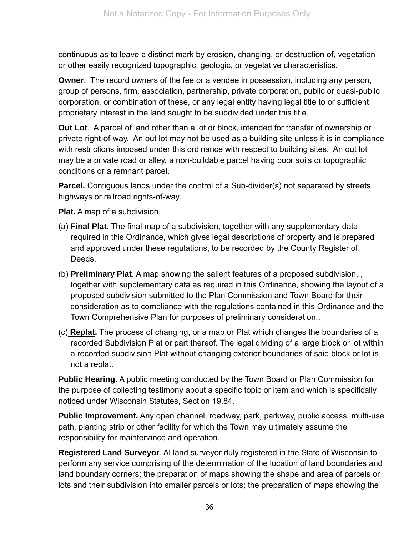continuous as to leave a distinct mark by erosion, changing, or destruction of, vegetation or other easily recognized topographic, geologic, or vegetative characteristics.

**Owner**. The record owners of the fee or a vendee in possession, including any person, group of persons, firm, association, partnership, private corporation, public or quasi-public corporation, or combination of these, or any legal entity having legal title to or sufficient proprietary interest in the land sought to be subdivided under this title.

**Out Lot**. A parcel of land other than a lot or block, intended for transfer of ownership or private right-of-way. An out lot may not be used as a building site unless it is in compliance with restrictions imposed under this ordinance with respect to building sites. An out lot may be a private road or alley, a non-buildable parcel having poor soils or topographic conditions or a remnant parcel.

**Parcel.** Contiguous lands under the control of a Sub-divider(s) not separated by streets, highways or railroad rights-of-way.

**Plat.** A map of a subdivision.

- (a) **Final Plat.** The final map of a subdivision, together with any supplementary data required in this Ordinance, which gives legal descriptions of property and is prepared and approved under these regulations, to be recorded by the County Register of Deeds.
- (b) **Preliminary Plat**. A map showing the salient features of a proposed subdivision, , together with supplementary data as required in this Ordinance, showing the layout of a proposed subdivision submitted to the Plan Commission and Town Board for their consideration as to compliance with the regulations contained in this Ordinance and the Town Comprehensive Plan for purposes of preliminary consideration..
- (c) **Replat.** The process of changing, or a map or Plat which changes the boundaries of a recorded Subdivision Plat or part thereof. The legal dividing of a large block or lot within a recorded subdivision Plat without changing exterior boundaries of said block or lot is not a replat.

**Public Hearing.** A public meeting conducted by the Town Board or Plan Commission for the purpose of collecting testimony about a specific topic or item and which is specifically noticed under Wisconsin Statutes, Section 19.84.

**Public Improvement.** Any open channel, roadway, park, parkway, public access, multi-use path, planting strip or other facility for which the Town may ultimately assume the responsibility for maintenance and operation.

**Registered Land Surveyor**. Al land surveyor duly registered in the State of Wisconsin to perform any service comprising of the determination of the location of land boundaries and land boundary corners; the preparation of maps showing the shape and area of parcels or lots and their subdivision into smaller parcels or lots; the preparation of maps showing the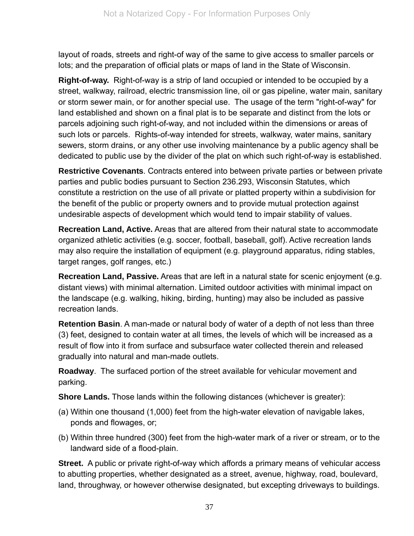layout of roads, streets and right-of way of the same to give access to smaller parcels or lots; and the preparation of official plats or maps of land in the State of Wisconsin.

**Right-of-way.** Right-of-way is a strip of land occupied or intended to be occupied by a street, walkway, railroad, electric transmission line, oil or gas pipeline, water main, sanitary or storm sewer main, or for another special use. The usage of the term "right-of-way" for land established and shown on a final plat is to be separate and distinct from the lots or parcels adjoining such right-of-way, and not included within the dimensions or areas of such lots or parcels. Rights-of-way intended for streets, walkway, water mains, sanitary sewers, storm drains, or any other use involving maintenance by a public agency shall be dedicated to public use by the divider of the plat on which such right-of-way is established.

**Restrictive Covenants**. Contracts entered into between private parties or between private parties and public bodies pursuant to Section 236.293, Wisconsin Statutes, which constitute a restriction on the use of all private or platted property within a subdivision for the benefit of the public or property owners and to provide mutual protection against undesirable aspects of development which would tend to impair stability of values.

**Recreation Land, Active.** Areas that are altered from their natural state to accommodate organized athletic activities (e.g. soccer, football, baseball, golf). Active recreation lands may also require the installation of equipment (e.g. playground apparatus, riding stables, target ranges, golf ranges, etc.)

**Recreation Land, Passive.** Areas that are left in a natural state for scenic enjoyment (e.g. distant views) with minimal alternation. Limited outdoor activities with minimal impact on the landscape (e.g. walking, hiking, birding, hunting) may also be included as passive recreation lands.

**Retention Basin**. A man-made or natural body of water of a depth of not less than three (3) feet, designed to contain water at all times, the levels of which will be increased as a result of flow into it from surface and subsurface water collected therein and released gradually into natural and man-made outlets.

**Roadway**. The surfaced portion of the street available for vehicular movement and parking.

**Shore Lands.** Those lands within the following distances (whichever is greater):

- (a) Within one thousand (1,000) feet from the high-water elevation of navigable lakes, ponds and flowages, or;
- (b) Within three hundred (300) feet from the high-water mark of a river or stream, or to the landward side of a flood-plain.

**Street.** A public or private right-of-way which affords a primary means of vehicular access to abutting properties, whether designated as a street, avenue, highway, road, boulevard, land, throughway, or however otherwise designated, but excepting driveways to buildings.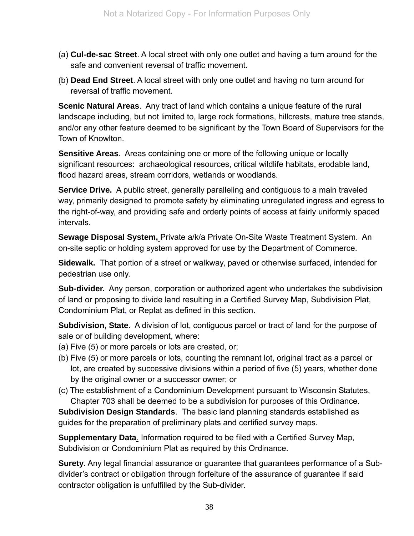- (a) **Cul-de-sac Street**. A local street with only one outlet and having a turn around for the safe and convenient reversal of traffic movement.
- (b) **Dead End Street**. A local street with only one outlet and having no turn around for reversal of traffic movement.

**Scenic Natural Areas**. Any tract of land which contains a unique feature of the rural landscape including, but not limited to, large rock formations, hillcrests, mature tree stands, and/or any other feature deemed to be significant by the Town Board of Supervisors for the Town of Knowlton.

**Sensitive Areas**. Areas containing one or more of the following unique or locally significant resources: archaeological resources, critical wildlife habitats, erodable land, flood hazard areas, stream corridors, wetlands or woodlands.

**Service Drive.** A public street, generally paralleling and contiguous to a main traveled way, primarily designed to promote safety by eliminating unregulated ingress and egress to the right-of-way, and providing safe and orderly points of access at fairly uniformly spaced intervals.

**Sewage Disposal System,** Private a/k/a Private On-Site Waste Treatment System. An on-site septic or holding system approved for use by the Department of Commerce.

**Sidewalk.** That portion of a street or walkway, paved or otherwise surfaced, intended for pedestrian use only.

**Sub-divider.** Any person, corporation or authorized agent who undertakes the subdivision of land or proposing to divide land resulting in a Certified Survey Map, Subdivision Plat, Condominium Plat, or Replat as defined in this section.

**Subdivision, State**. A division of lot, contiguous parcel or tract of land for the purpose of sale or of building development, where:

- (a) Five (5) or more parcels or lots are created, or;
- (b) Five (5) or more parcels or lots, counting the remnant lot, original tract as a parcel or lot, are created by successive divisions within a period of five (5) years, whether done by the original owner or a successor owner; or
- (c) The establishment of a Condominium Development pursuant to Wisconsin Statutes, Chapter 703 shall be deemed to be a subdivision for purposes of this Ordinance.

**Subdivision Design Standards**. The basic land planning standards established as guides for the preparation of preliminary plats and certified survey maps.

**Supplementary Data**. Information required to be filed with a Certified Survey Map, Subdivision or Condominium Plat as required by this Ordinance.

**Surety**. Any legal financial assurance or guarantee that guarantees performance of a Subdivider's contract or obligation through forfeiture of the assurance of guarantee if said contractor obligation is unfulfilled by the Sub-divider.